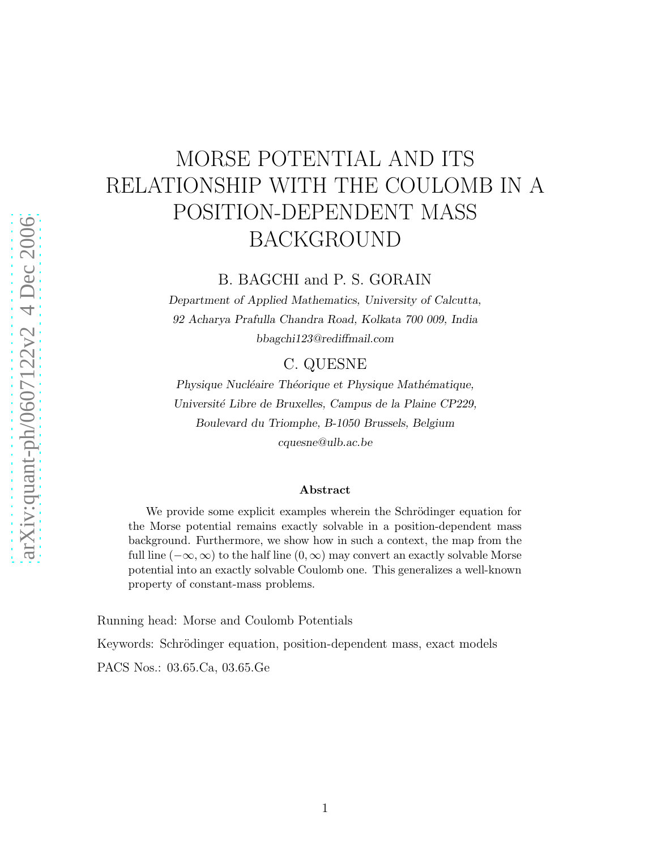# MORSE POTENTIAL AND ITS RELATIONSHIP WITH THE COULOMB IN A POSITION-DEPENDENT MASS BACKGROUND

B. BAGCHI and P. S. GORAIN

Department of Applied Mathematics, University of Calcutta, 92 Acharya Prafulla Chandra Road, Kolkata 700 009, India bbagchi123@rediffmail.com

### C. QUESNE

Physique Nucléaire Théorique et Physique Mathématique, Université Libre de Bruxelles, Campus de la Plaine CP229, Boulevard du Triomphe, B-1050 Brussels, Belgium cquesne@ulb.ac.be

#### Abstract

We provide some explicit examples wherein the Schrödinger equation for the Morse potential remains exactly solvable in a position-dependent mass background. Furthermore, we show how in such a context, the map from the full line  $(-\infty,\infty)$  to the half line  $(0,\infty)$  may convert an exactly solvable Morse potential into an exactly solvable Coulomb one. This generalizes a well-known property of constant-mass problems.

Running head: Morse and Coulomb Potentials

Keywords: Schrödinger equation, position-dependent mass, exact models

PACS Nos.: 03.65.Ca, 03.65.Ge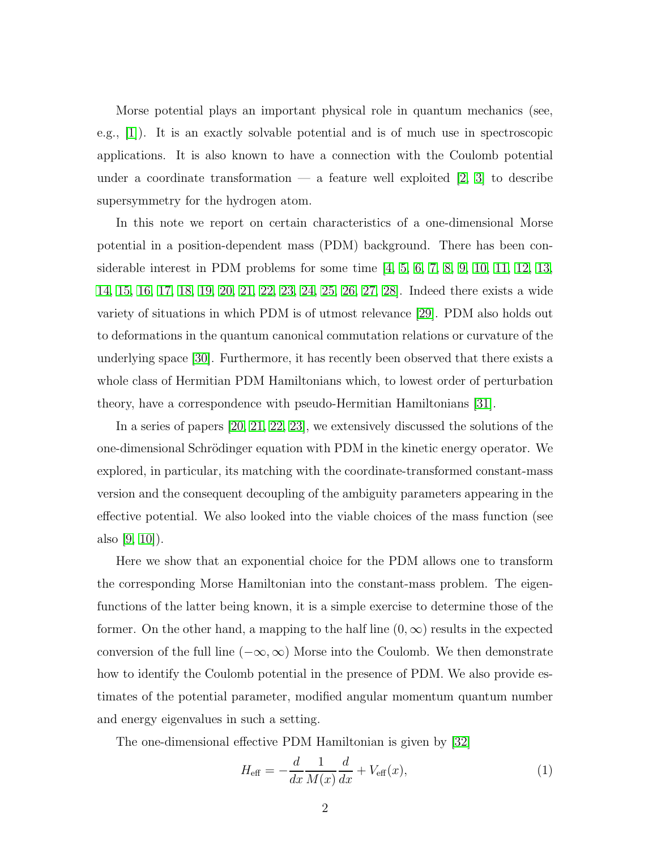Morse potential plays an important physical role in quantum mechanics (see, e.g., [\[1\]](#page-7-0)). It is an exactly solvable potential and is of much use in spectroscopic applications. It is also known to have a connection with the Coulomb potential under a coordinate transformation — a feature well exploited  $[2, 3]$  $[2, 3]$  to describe supersymmetry for the hydrogen atom.

In this note we report on certain characteristics of a one-dimensional Morse potential in a position-dependent mass (PDM) background. There has been considerable interest in PDM problems for some time [\[4,](#page-7-3) [5,](#page-7-4) [6,](#page-7-5) [7,](#page-7-6) [8,](#page-7-7) [9,](#page-7-8) [10,](#page-7-9) [11,](#page-7-10) [12,](#page-7-11) [13,](#page-7-12) [14,](#page-7-13) [15,](#page-7-14) [16,](#page-7-15) [17,](#page-7-16) [18,](#page-8-0) [19,](#page-8-1) [20,](#page-8-2) [21,](#page-8-3) [22,](#page-8-4) [23,](#page-8-5) [24,](#page-8-6) [25,](#page-8-7) [26,](#page-8-8) [27,](#page-8-9) [28\]](#page-8-10). Indeed there exists a wide variety of situations in which PDM is of utmost relevance [\[29\]](#page-8-11). PDM also holds out to deformations in the quantum canonical commutation relations or curvature of the underlying space [\[30\]](#page-8-12). Furthermore, it has recently been observed that there exists a whole class of Hermitian PDM Hamiltonians which, to lowest order of perturbation theory, have a correspondence with pseudo-Hermitian Hamiltonians [\[31\]](#page-8-13).

In a series of papers [\[20,](#page-8-2) [21,](#page-8-3) [22,](#page-8-4) [23\]](#page-8-5), we extensively discussed the solutions of the one-dimensional Schrödinger equation with PDM in the kinetic energy operator. We explored, in particular, its matching with the coordinate-transformed constant-mass version and the consequent decoupling of the ambiguity parameters appearing in the effective potential. We also looked into the viable choices of the mass function (see also  $(9, 10)$ .

Here we show that an exponential choice for the PDM allows one to transform the corresponding Morse Hamiltonian into the constant-mass problem. The eigenfunctions of the latter being known, it is a simple exercise to determine those of the former. On the other hand, a mapping to the half line  $(0, \infty)$  results in the expected conversion of the full line  $(-\infty, \infty)$  Morse into the Coulomb. We then demonstrate how to identify the Coulomb potential in the presence of PDM. We also provide estimates of the potential parameter, modified angular momentum quantum number and energy eigenvalues in such a setting.

The one-dimensional effective PDM Hamiltonian is given by [\[32\]](#page-8-14)

<span id="page-1-0"></span>
$$
H_{\text{eff}} = -\frac{d}{dx} \frac{1}{M(x)} \frac{d}{dx} + V_{\text{eff}}(x),\tag{1}
$$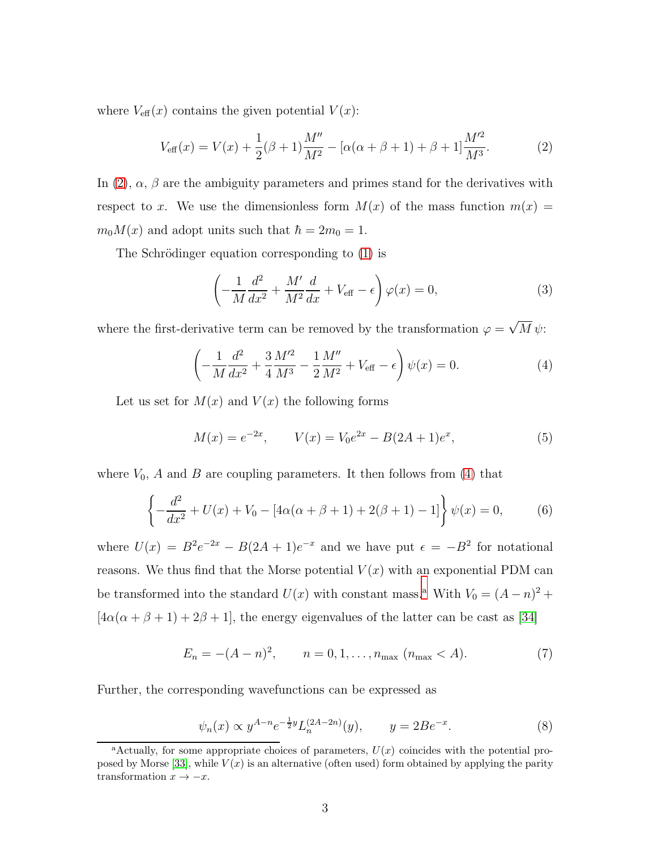where  $V_{\text{eff}}(x)$  contains the given potential  $V(x)$ :

<span id="page-2-0"></span>
$$
V_{\text{eff}}(x) = V(x) + \frac{1}{2}(\beta + 1)\frac{M''}{M^2} - [\alpha(\alpha + \beta + 1) + \beta + 1]\frac{M'^2}{M^3}.
$$
 (2)

In [\(2\)](#page-2-0),  $\alpha$ ,  $\beta$  are the ambiguity parameters and primes stand for the derivatives with respect to x. We use the dimensionless form  $M(x)$  of the mass function  $m(x) =$  $m_0M(x)$  and adopt units such that  $\hbar = 2m_0 = 1$ .

The Schrödinger equation corresponding to [\(1\)](#page-1-0) is

<span id="page-2-3"></span>
$$
\left(-\frac{1}{M}\frac{d^2}{dx^2} + \frac{M'}{M^2}\frac{d}{dx} + V_{\text{eff}} - \epsilon\right)\varphi(x) = 0,\tag{3}
$$

where the first-derivative term can be removed by the transformation  $\varphi = \sqrt{M}\psi$ :

<span id="page-2-1"></span>
$$
\left(-\frac{1}{M}\frac{d^2}{dx^2} + \frac{3}{4}\frac{M'^2}{M^3} - \frac{1}{2}\frac{M''}{M^2} + V_{\text{eff}} - \epsilon\right)\psi(x) = 0.
$$
 (4)

Let us set for  $M(x)$  and  $V(x)$  the following forms

<span id="page-2-4"></span>
$$
M(x) = e^{-2x}, \qquad V(x) = V_0 e^{2x} - B(2A+1)e^x,\tag{5}
$$

where  $V_0$ , A and B are coupling parameters. It then follows from [\(4\)](#page-2-1) that

$$
\left\{-\frac{d^2}{dx^2} + U(x) + V_0 - [4\alpha(\alpha + \beta + 1) + 2(\beta + 1) - 1]\right\}\psi(x) = 0,\tag{6}
$$

where  $U(x) = B^2 e^{-2x} - B(2A + 1)e^{-x}$  and we have put  $\epsilon = -B^2$  for notational reasons. We thus find that the Morse potential  $V(x)$  with an exponential PDM can be tr[a](#page-2-2)nsformed into the standard  $U(x)$  with constant mass.<sup>a</sup> With  $V_0 = (A - n)^2 +$  $[4\alpha(\alpha+\beta+1)+2\beta+1],$  the energy eigenvalues of the latter can be cast as [\[34\]](#page-8-15)

$$
E_n = -(A - n)^2, \qquad n = 0, 1, \dots, n_{\text{max}} \ (n_{\text{max}} < A). \tag{7}
$$

Further, the corresponding wavefunctions can be expressed as

$$
\psi_n(x) \propto y^{A-n} e^{-\frac{1}{2}y} L_n^{(2A-2n)}(y), \qquad y = 2Be^{-x}.
$$
 (8)

<span id="page-2-2"></span><sup>&</sup>lt;sup>a</sup>Actually, for some appropriate choices of parameters,  $U(x)$  coincides with the potential pro-posed by Morse [\[33\]](#page-8-16), while  $V(x)$  is an alternative (often used) form obtained by applying the parity transformation  $x \to -x$ .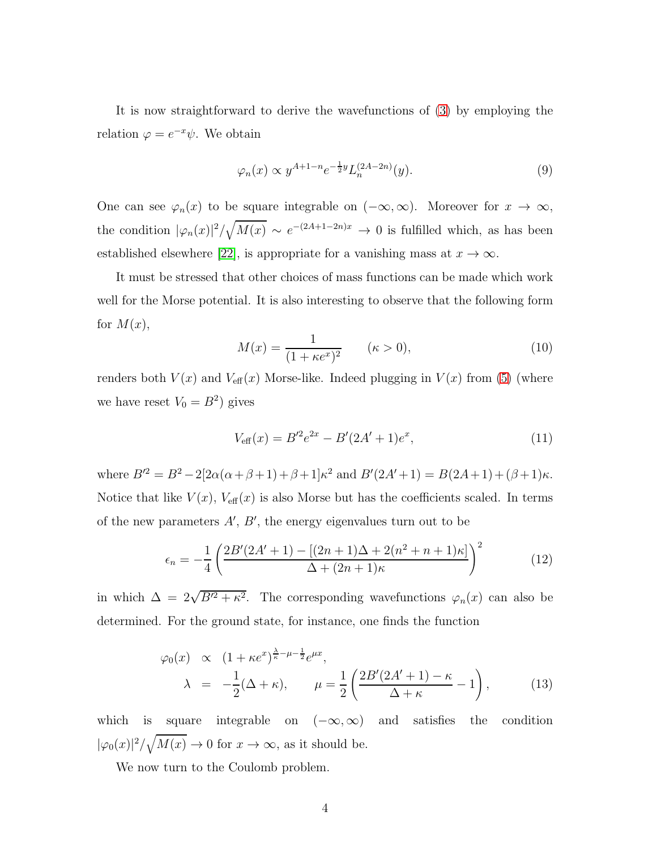It is now straightforward to derive the wavefunctions of [\(3\)](#page-2-3) by employing the relation  $\varphi = e^{-x}\psi$ . We obtain

$$
\varphi_n(x) \propto y^{A+1-n} e^{-\frac{1}{2}y} L_n^{(2A-2n)}(y). \tag{9}
$$

One can see  $\varphi_n(x)$  to be square integrable on  $(-\infty, \infty)$ . Moreover for  $x \to \infty$ , the condition  $|\varphi_n(x)|^2 / \sqrt{M(x)} \sim e^{-(2A+1-2n)x} \to 0$  is fulfilled which, as has been established elsewhere [\[22\]](#page-8-4), is appropriate for a vanishing mass at  $x \to \infty$ .

It must be stressed that other choices of mass functions can be made which work well for the Morse potential. It is also interesting to observe that the following form for  $M(x)$ ,

$$
M(x) = \frac{1}{(1 + \kappa e^x)^2} \qquad (\kappa > 0), \tag{10}
$$

renders both  $V(x)$  and  $V_{\text{eff}}(x)$  Morse-like. Indeed plugging in  $V(x)$  from [\(5\)](#page-2-4) (where we have reset  $V_0 = B^2$ ) gives

$$
V_{\text{eff}}(x) = B'^2 e^{2x} - B'(2A' + 1)e^x,
$$
\n(11)

where  $B'^2 = B^2 - 2[2\alpha(\alpha + \beta + 1) + \beta + 1]\kappa^2$  and  $B'(2A' + 1) = B(2A + 1) + (\beta + 1)\kappa$ . Notice that like  $V(x)$ ,  $V_{\text{eff}}(x)$  is also Morse but has the coefficients scaled. In terms of the new parameters  $A'$ ,  $B'$ , the energy eigenvalues turn out to be

<span id="page-3-0"></span>
$$
\epsilon_n = -\frac{1}{4} \left( \frac{2B'(2A'+1) - [(2n+1)\Delta + 2(n^2+n+1)\kappa]}{\Delta + (2n+1)\kappa} \right)^2 \tag{12}
$$

in which  $\Delta = 2\sqrt{B'^2 + \kappa^2}$ . The corresponding wavefunctions  $\varphi_n(x)$  can also be determined. For the ground state, for instance, one finds the function

<span id="page-3-1"></span>
$$
\varphi_0(x) \propto (1 + \kappa e^x)^{\frac{\lambda}{\kappa} - \mu - \frac{1}{2}} e^{\mu x},
$$
  

$$
\lambda = -\frac{1}{2} (\Delta + \kappa), \qquad \mu = \frac{1}{2} \left( \frac{2B'(2A' + 1) - \kappa}{\Delta + \kappa} - 1 \right),
$$
 (13)

which is square integrable on  $(-\infty, \infty)$  and satisfies the condition  $|\varphi_0(x)|^2 / \sqrt{M(x)} \to 0$  for  $x \to \infty$ , as it should be.

We now turn to the Coulomb problem.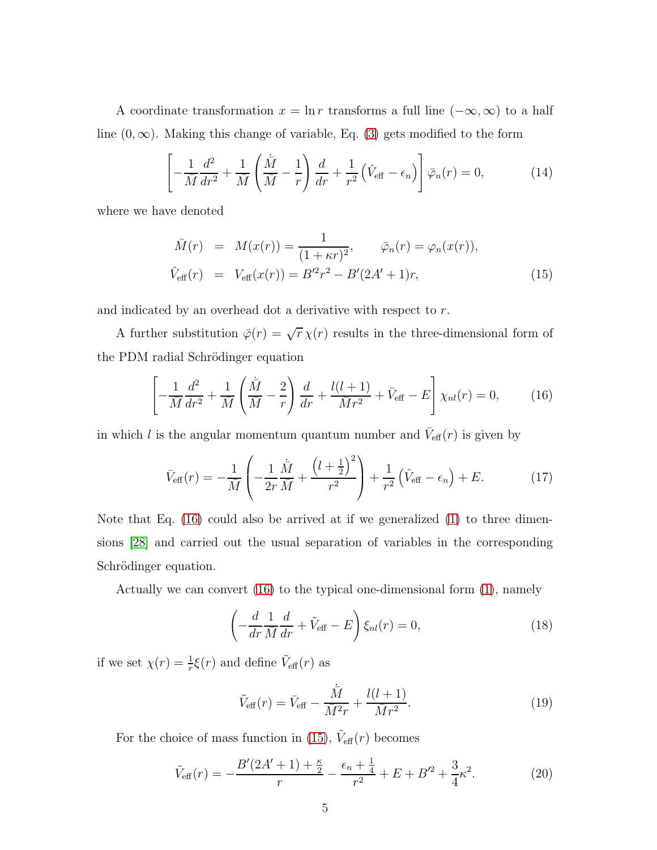A coordinate transformation  $x = \ln r$  transforms a full line  $(-\infty, \infty)$  to a half line  $(0, \infty)$ . Making this change of variable, Eq. [\(3\)](#page-2-3) gets modified to the form

$$
\left[ -\frac{1}{\bar{M}} \frac{d^2}{dr^2} + \frac{1}{\bar{M}} \left( \frac{\dot{\bar{M}}}{\bar{M}} - \frac{1}{r} \right) \frac{d}{dr} + \frac{1}{r^2} \left( \hat{V}_{\text{eff}} - \epsilon_n \right) \right] \bar{\varphi}_n(r) = 0, \tag{14}
$$

where we have denoted

<span id="page-4-1"></span>
$$
\bar{M}(r) = M(x(r)) = \frac{1}{(1+\kappa r)^2}, \qquad \bar{\varphi}_n(r) = \varphi_n(x(r)),
$$
\n
$$
\hat{V}_{\text{eff}}(r) = V_{\text{eff}}(x(r)) = B'^2 r^2 - B'(2A' + 1)r,
$$
\n(15)

and indicated by an overhead dot a derivative with respect to r.

A further substitution  $\bar{\varphi}(r) = \sqrt{r} \chi(r)$  results in the three-dimensional form of the PDM radial Schrödinger equation

<span id="page-4-0"></span>
$$
\left[ -\frac{1}{\bar{M}} \frac{d^2}{dr^2} + \frac{1}{\bar{M}} \left( \frac{\dot{\bar{M}}}{\bar{M}} - \frac{2}{r} \right) \frac{d}{dr} + \frac{l(l+1)}{\bar{M}r^2} + \bar{V}_{\text{eff}} - E \right] \chi_{nl}(r) = 0, \quad (16)
$$

in which l is the angular momentum quantum number and  $\bar{V}_{\text{eff}}(r)$  is given by

$$
\bar{V}_{\text{eff}}(r) = -\frac{1}{\bar{M}} \left( -\frac{1}{2r} \frac{\dot{\bar{M}}}{\bar{M}} + \frac{\left(l + \frac{1}{2}\right)^2}{r^2} \right) + \frac{1}{r^2} \left( \hat{V}_{\text{eff}} - \epsilon_n \right) + E. \tag{17}
$$

Note that Eq.  $(16)$  could also be arrived at if we generalized  $(1)$  to three dimensions [\[28\]](#page-8-10) and carried out the usual separation of variables in the corresponding Schrödinger equation.

Actually we can convert [\(16\)](#page-4-0) to the typical one-dimensional form [\(1\)](#page-1-0), namely

$$
\left(-\frac{d}{dr}\frac{1}{\overline{M}}\frac{d}{dr} + \tilde{V}_{\text{eff}} - E\right)\xi_{nl}(r) = 0,\tag{18}
$$

if we set  $\chi(r) = \frac{1}{r} \xi(r)$  and define  $\tilde{V}_{\text{eff}}(r)$  as

$$
\tilde{V}_{\text{eff}}(r) = \bar{V}_{\text{eff}} - \frac{\dot{\bar{M}}}{\bar{M}^2 r} + \frac{l(l+1)}{\bar{M}r^2}.
$$
\n(19)

For the choice of mass function in [\(15\)](#page-4-1),  $\tilde{V}_{\text{eff}}(r)$  becomes

$$
\tilde{V}_{\text{eff}}(r) = -\frac{B'(2A'+1) + \frac{\kappa}{2}}{r} - \frac{\epsilon_n + \frac{1}{4}}{r^2} + E + B'^2 + \frac{3}{4}\kappa^2. \tag{20}
$$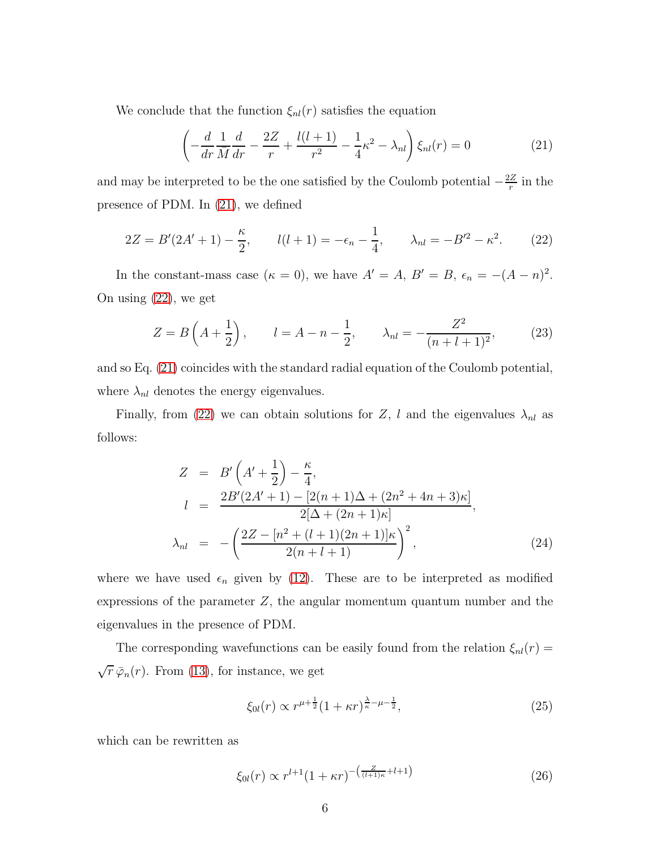We conclude that the function  $\xi_{nl}(r)$  satisfies the equation

<span id="page-5-0"></span>
$$
\left(-\frac{d}{dr}\frac{1}{\overline{M}}\frac{d}{dr} - \frac{2Z}{r} + \frac{l(l+1)}{r^2} - \frac{1}{4}\kappa^2 - \lambda_{nl}\right)\xi_{nl}(r) = 0\tag{21}
$$

and may be interpreted to be the one satisfied by the Coulomb potential  $-\frac{2Z}{r}$  $\frac{2Z}{r}$  in the presence of PDM. In [\(21\)](#page-5-0), we defined

<span id="page-5-1"></span>
$$
2Z = B'(2A' + 1) - \frac{\kappa}{2}, \qquad l(l+1) = -\epsilon_n - \frac{1}{4}, \qquad \lambda_{nl} = -B'^2 - \kappa^2. \tag{22}
$$

In the constant-mass case  $(\kappa = 0)$ , we have  $A' = A$ ,  $B' = B$ ,  $\epsilon_n = -(A - n)^2$ . On using [\(22\)](#page-5-1), we get

<span id="page-5-3"></span>
$$
Z = B\left(A + \frac{1}{2}\right), \qquad l = A - n - \frac{1}{2}, \qquad \lambda_{nl} = -\frac{Z^2}{(n+l+1)^2}, \tag{23}
$$

and so Eq. [\(21\)](#page-5-0) coincides with the standard radial equation of the Coulomb potential, where  $\lambda_{nl}$  denotes the energy eigenvalues.

Finally, from [\(22\)](#page-5-1) we can obtain solutions for Z, l and the eigenvalues  $\lambda_{nl}$  as follows:

<span id="page-5-2"></span>
$$
Z = B'\left(A' + \frac{1}{2}\right) - \frac{\kappa}{4},
$$
  
\n
$$
l = \frac{2B'(2A' + 1) - [2(n+1)\Delta + (2n^2 + 4n + 3)\kappa]}{2[\Delta + (2n+1)\kappa]},
$$
  
\n
$$
\lambda_{nl} = -\left(\frac{2Z - [n^2 + (l+1)(2n+1)]\kappa}{2(n+l+1)}\right)^2,
$$
\n(24)

where we have used  $\epsilon_n$  given by [\(12\)](#page-3-0). These are to be interpreted as modified expressions of the parameter  $Z$ , the angular momentum quantum number and the eigenvalues in the presence of PDM.

The corresponding wavefunctions can be easily found from the relation  $\xi_{nl}(r)$  =  $\sqrt{r} \bar{\varphi}_n(r)$ . From [\(13\)](#page-3-1), for instance, we get

$$
\xi_{0l}(r) \propto r^{\mu + \frac{1}{2}} (1 + \kappa r)^{\frac{\lambda}{\kappa} - \mu - \frac{1}{2}},
$$
\n(25)

which can be rewritten as

$$
\xi_{0l}(r) \propto r^{l+1} (1+\kappa r)^{-\left(\frac{Z}{(l+1)\kappa} + l + 1\right)} \tag{26}
$$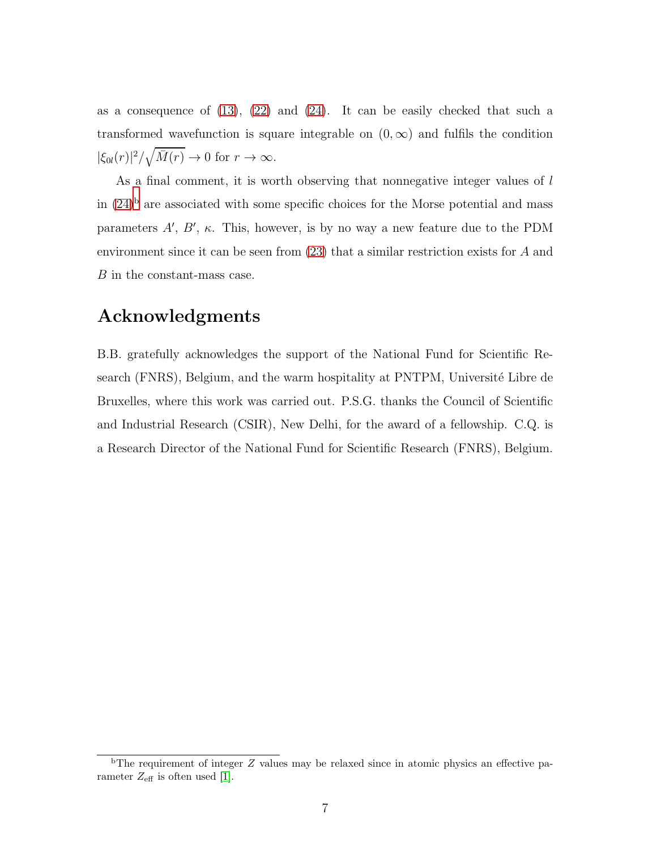as a consequence of  $(13)$ ,  $(22)$  and  $(24)$ . It can be easily checked that such a transformed wavefunction is square integrable on  $(0, \infty)$  and fulfils the condition  $|\xi_{0l}(r)|^2/\sqrt{\bar{M}(r)} \to 0$  for  $r \to \infty$ .

As a final comment, it is worth observing that nonnegative integer values of l in  $(24)^{b}$  $(24)^{b}$  $(24)^{b}$  are associated with some specific choices for the Morse potential and mass parameters  $A'$ ,  $B'$ ,  $\kappa$ . This, however, is by no way a new feature due to the PDM environment since it can be seen from [\(23\)](#page-5-3) that a similar restriction exists for A and B in the constant-mass case.

## Acknowledgments

B.B. gratefully acknowledges the support of the National Fund for Scientific Research (FNRS), Belgium, and the warm hospitality at PNTPM, Université Libre de Bruxelles, where this work was carried out. P.S.G. thanks the Council of Scientific and Industrial Research (CSIR), New Delhi, for the award of a fellowship. C.Q. is a Research Director of the National Fund for Scientific Research (FNRS), Belgium.

<span id="page-6-0"></span> $b$ The requirement of integer  $Z$  values may be relaxed since in atomic physics an effective parameter  $Z_{\text{eff}}$  is often used [\[1\]](#page-7-0).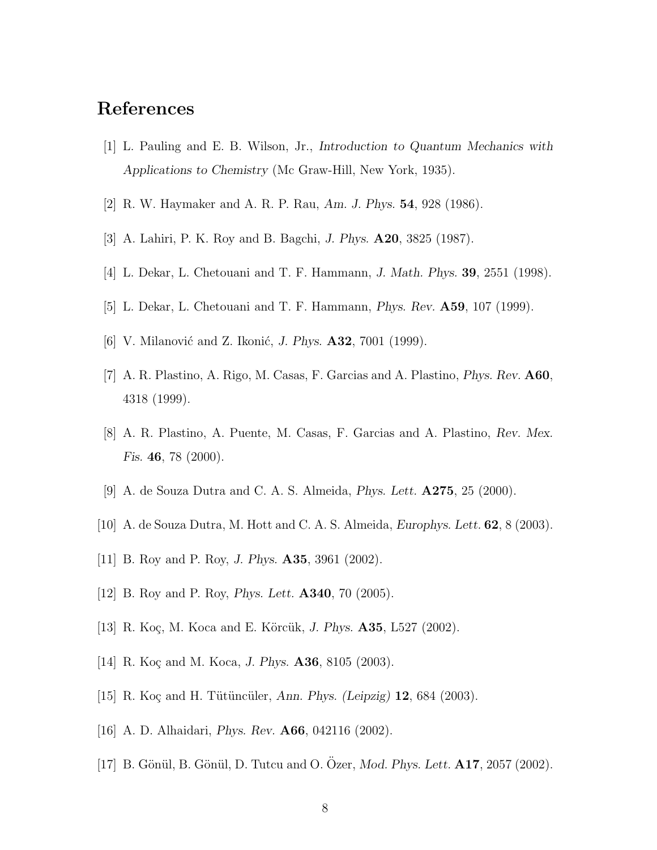### <span id="page-7-0"></span>References

- <span id="page-7-1"></span>[1] L. Pauling and E. B. Wilson, Jr., Introduction to Quantum Mechanics with Applications to Chemistry (Mc Graw-Hill, New York, 1935).
- <span id="page-7-2"></span>[2] R. W. Haymaker and A. R. P. Rau, Am. J. Phys. 54, 928 (1986).
- <span id="page-7-3"></span>[3] A. Lahiri, P. K. Roy and B. Bagchi, J. Phys. A20, 3825 (1987).
- <span id="page-7-4"></span>[4] L. Dekar, L. Chetouani and T. F. Hammann, J. Math. Phys. 39, 2551 (1998).
- <span id="page-7-5"></span>[5] L. Dekar, L. Chetouani and T. F. Hammann, Phys. Rev. A59, 107 (1999).
- <span id="page-7-6"></span>[6] V. Milanović and Z. Ikonić, *J. Phys.*  $\mathbf{A32}$ , 7001 (1999).
- <span id="page-7-7"></span>[7] A. R. Plastino, A. Rigo, M. Casas, F. Garcias and A. Plastino, Phys. Rev. A60, 4318 (1999).
- <span id="page-7-8"></span>[8] A. R. Plastino, A. Puente, M. Casas, F. Garcias and A. Plastino, Rev. Mex. Fis. 46, 78 (2000).
- <span id="page-7-9"></span>[9] A. de Souza Dutra and C. A. S. Almeida, Phys. Lett. A275, 25 (2000).
- <span id="page-7-10"></span>[10] A. de Souza Dutra, M. Hott and C. A. S. Almeida, *Europhys. Lett.* **62**, 8 (2003).
- <span id="page-7-11"></span>[11] B. Roy and P. Roy, J. Phys. A35, 3961 (2002).
- <span id="page-7-12"></span>[12] B. Roy and P. Roy, Phys. Lett. A340, 70 (2005).
- <span id="page-7-13"></span>[13] R. Koç, M. Koca and E. Körcük, J. Phys. **A35**, L527 (2002).
- <span id="page-7-14"></span>[14] R. Koç and M. Koca, J. Phys.  $\mathbf{A36}$ , 8105 (2003).
- <span id="page-7-15"></span>[15] R. Koç and H. Tütüncüler, Ann. Phys. (Leipzig)  $12,684$  (2003).
- <span id="page-7-16"></span>[16] A. D. Alhaidari, Phys. Rev. A66, 042116 (2002).
- [17] B. Gönül, B. Gönül, D. Tutcu and O. Ozer, *Mod. Phys. Lett.* **A17**, 2057 (2002).